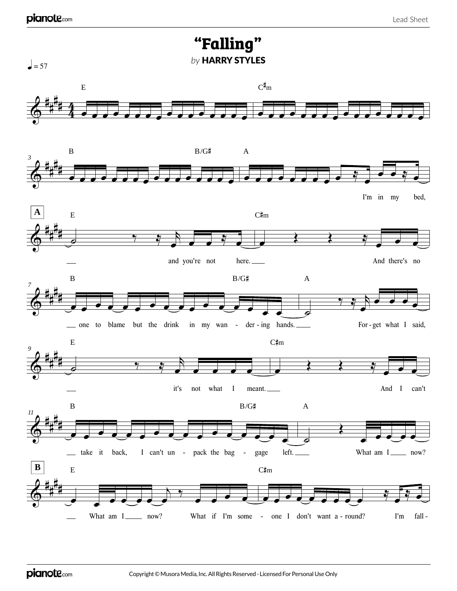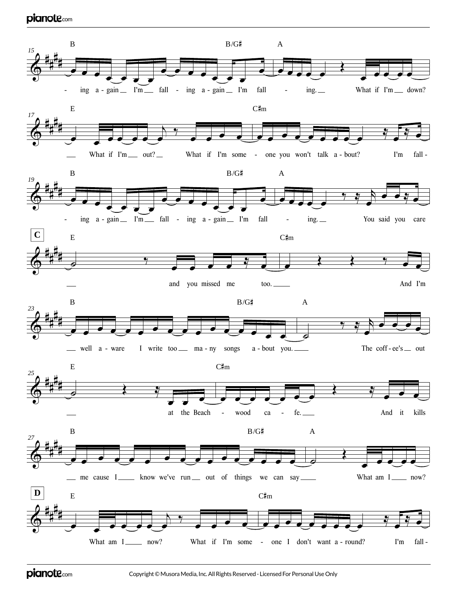pianote.com

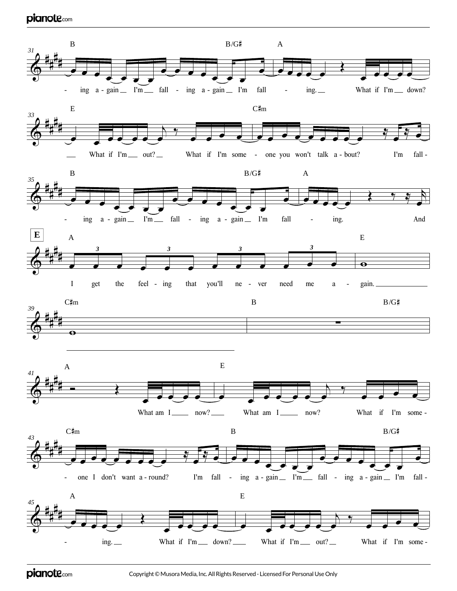pianote.com